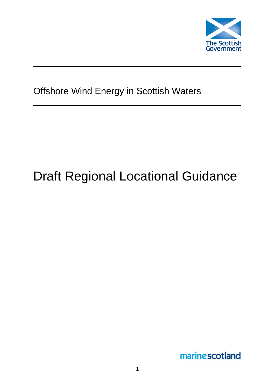

# Offshore Wind Energy in Scottish Waters

# Draft Regional Locational Guidance

marinescotland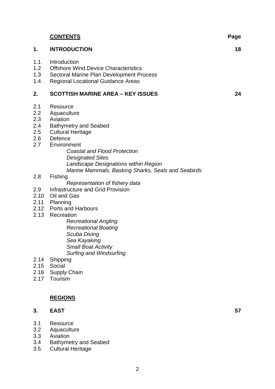|                                                     | <b>CONTENTS</b>                                                                                                                                                                                                                                                                                                                  | Page |
|-----------------------------------------------------|----------------------------------------------------------------------------------------------------------------------------------------------------------------------------------------------------------------------------------------------------------------------------------------------------------------------------------|------|
| 1.                                                  | <b>INTRODUCTION</b>                                                                                                                                                                                                                                                                                                              | 18   |
| 1.1<br>1.2<br>1.3<br>1.4                            | Introduction<br><b>Offshore Wind Device Characteristics</b><br>Sectoral Marine Plan Development Process<br><b>Regional Locational Guidance Areas</b>                                                                                                                                                                             |      |
| 2.                                                  | <b>SCOTTISH MARINE AREA - KEY ISSUES</b>                                                                                                                                                                                                                                                                                         | 24   |
| 2.1<br>2.2<br>2.3<br>2.4<br>2.5<br>2.6<br>2.7       | Resource<br>Aquaculture<br>Aviation<br><b>Bathymetry and Seabed</b><br><b>Cultural Heritage</b><br>Defence<br>Environment<br><b>Coastal and Flood Protection</b><br><b>Designated Sites</b><br>Landscape Designations within Region                                                                                              |      |
| 2.8                                                 | Marine Mammals, Basking Sharks, Seals and Seabirds<br>Fishing<br>Representation of fishery data                                                                                                                                                                                                                                  |      |
| 2.9<br>2.10<br>2.13<br>2.14<br>2.15<br>2.16<br>2.17 | Infrastructure and Grid Provision<br>Oil and Gas<br>2.11 Planning<br>2.12 Ports and Harbours<br>Recreation<br><b>Recreational Angling</b><br><b>Recreational Boating</b><br>Scuba Diving<br>Sea Kayaking<br><b>Small Boat Activity</b><br><b>Surfing and Windsurfing</b><br>Shipping<br>Social<br><b>Supply Chain</b><br>Tourism |      |
|                                                     |                                                                                                                                                                                                                                                                                                                                  |      |
|                                                     | <b>REGIONS</b>                                                                                                                                                                                                                                                                                                                   |      |
| 3.                                                  | <b>EAST</b>                                                                                                                                                                                                                                                                                                                      | 57   |
| 3.1                                                 | Resource                                                                                                                                                                                                                                                                                                                         |      |

- 3.2 Aquaculture
- 3.3 Aviation
- 3.4 Bathymetry and Seabed
- 3.5 Cultural Heritage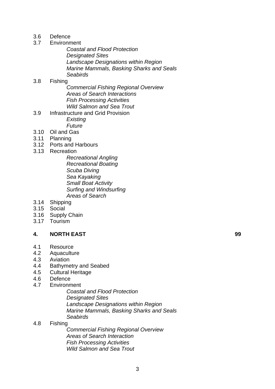- 3.6 Defence
- 3.7 Environment
	- *Coastal and Flood Protection Designated Sites Landscape Designations within Region Marine Mammals, Basking Sharks and Seals Seabirds*

# 3.8 Fishing

- *Commercial Fishing Regional Overview Areas of Search Interactions Fish Processing Activities Wild Salmon and Sea Trout*
- 3.9 Infrastructure and Grid Provision *Existing Future*
- 3.10 Oil and Gas
- 3.11 Planning
- 3.12 Ports and Harbours
- 3.13 Recreation
	- *Recreational Angling Recreational Boating Scuba Diving Sea Kayaking Small Boat Activity Surfing and Windsurfing Areas of Search*
- 3.14 Shipping
- 3.15 Social
- 3.16 Supply Chain
- 3.17 Tourism

# **4. NORTH EAST 99**

- 4.1 Resource
- 4.2 Aquaculture
- 4.3 Aviation
- 4.4 Bathymetry and Seabed
- 4.5 Cultural Heritage
- 4.6 Defence
- 4.7 Environment
	- *Coastal and Flood Protection Designated Sites Landscape Designations within Region Marine Mammals, Basking Sharks and Seals Seabirds*

#### 4.8 Fishing

*Commercial Fishing Regional Overview Areas of Search Interaction Fish Processing Activities Wild Salmon and Sea Trout*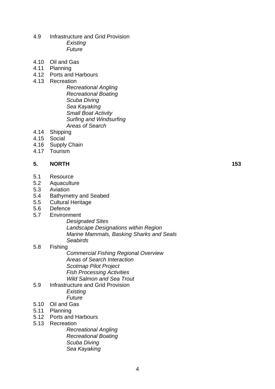- 4.9 Infrastructure and Grid Provision  *Existing Future*
- 4.10 Oil and Gas
- 4.11 Planning
- 4.12 Ports and Harbours
- 4.13 Recreation
	- *Recreational Angling Recreational Boating Scuba Diving Sea Kayaking Small Boat Activity Surfing and Windsurfing Areas of Search*
- 4.14 Shipping
- 4.15 Social
- 4.16 Supply Chain
- 4.17 Tourism

# **5. NORTH 153**

- 5.1 Resource
- 5.2 Aquaculture
- 5.3 Aviation
- 5.4 Bathymetry and Seabed
- 5.5 Cultural Heritage
- 5.6 Defence
- 5.7 Environment
	- *Designated Sites Landscape Designations within Region Marine Mammals, Basking Sharks and Seals Seabirds*

#### 5.8 Fishing

*Commercial Fishing Regional Overview Areas of Search Interaction Scotmap Pilot Project Fish Processing Activities Wild Salmon and Sea Trout* 

- 5.9 Infrastructure and Grid Provision  *Existing Future*
- 5.10 Oil and Gas
- 5.11 Planning
- 5.12 Ports and Harbours
- 5.13 Recreation

*Recreational Angling Recreational Boating Scuba Diving Sea Kayaking*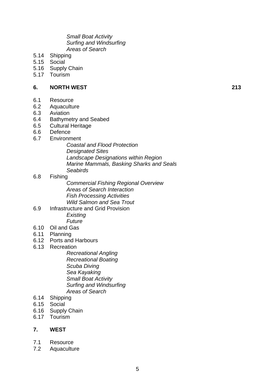*Small Boat Activity Surfing and Windsurfing Areas of Search* 

- 5.14 Shipping
- 5.15 Social
- 5.16 Supply Chain
- 5.17 Tourism

#### **6. NORTH WEST 213**

- 6.1 Resource
- 6.2 Aquaculture
- 6.3 Aviation
- 6.4 Bathymetry and Seabed
- 6.5 Cultural Heritage
- 6.6 Defence

# 6.7 Environment

*Coastal and Flood Protection Designated Sites Landscape Designations within Region Marine Mammals, Basking Sharks and Seals Seabirds* 

# 6.8 Fishing

- *Commercial Fishing Regional Overview Areas of Search Interaction Fish Processing Activities Wild Salmon and Sea Trout*
- 6.9 Infrastructure and Grid Provision  *Existing*

 *Future* 

- 6.10 Oil and Gas
- 6.11 Planning
- 6.12 Ports and Harbours
- 6.13 Recreation

*Recreational Angling Recreational Boating Scuba Diving Sea Kayaking Small Boat Activity Surfing and Windsurfing Areas of Search* 

- 6.14 Shipping
- 6.15 Social
- 6.16 Supply Chain
- 6.17 Tourism

# **7. WEST**

- 7.1 Resource
- 7.2 Aquaculture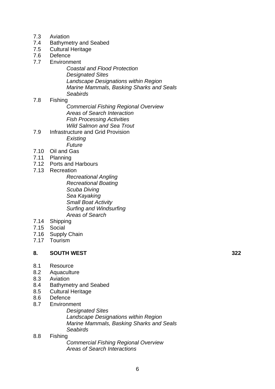- 7.3 Aviation
- 7.4 Bathymetry and Seabed
- 7.5 Cultural Heritage
- 7.6 Defence
- 7.7 Environment
	- *Coastal and Flood Protection Designated Sites Landscape Designations within Region Marine Mammals, Basking Sharks and Seals Seabirds*

# 7.8 Fishing

*Commercial Fishing Regional Overview Areas of Search Interaction Fish Processing Activities Wild Salmon and Sea Trout* 

- 7.9 Infrastructure and Grid Provision  *Existing Future*
- 7.10 Oil and Gas
- 7.11 Planning
- 7.12 Ports and Harbours
- 7.13 Recreation

*Recreational Angling Recreational Boating Scuba Diving Sea Kayaking Small Boat Activity Surfing and Windsurfing Areas of Search* 

- 7.14 Shipping
- 7.15 Social
- 7.16 Supply Chain
- 7.17 Tourism

#### **8. SOUTH WEST 322**

- 8.1 Resource
- 8.2 Aquaculture
- 8.3 Aviation
- 8.4 Bathymetry and Seabed
- 8.5 Cultural Heritage
- 8.6 Defence
- 8.7 Environment

*Designated Sites* 

*Landscape Designations within Region Marine Mammals, Basking Sharks and Seals Seabirds* 

#### 8.8 Fishing

*Commercial Fishing Regional Overview Areas of Search Interactions*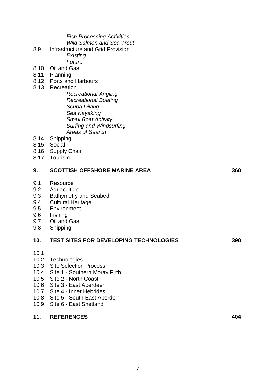| 11.                                                                  | <b>REFERENCES</b>                                                                                                                                                                                                                                                                                                               | 404 |
|----------------------------------------------------------------------|---------------------------------------------------------------------------------------------------------------------------------------------------------------------------------------------------------------------------------------------------------------------------------------------------------------------------------|-----|
| 10.1<br>10.2<br>10.3<br>10.4<br>10.5<br>10.6<br>10,7<br>10.8<br>10.9 | Technologies<br><b>Site Selection Process</b><br>Site 1 - Southern Moray Firth<br>Site 2 - North Coast<br>Site 3 - East Aberdeen<br>Site 4 - Inner Hebrides<br>Site 5 - South East Aberderr<br>Site 6 - East Shetland                                                                                                           |     |
| 10.                                                                  | <b>TEST SITES FOR DEVELOPING TECHNOLOGIES</b>                                                                                                                                                                                                                                                                                   | 390 |
| 9.1<br>9.2<br>9.3<br>9.4<br>9.5<br>9.6<br>9.7<br>9.8                 | Resource<br>Aquaculture<br><b>Bathymetry and Seabed</b><br><b>Cultural Heritage</b><br>Environment<br>Fishing<br>Oil and Gas<br>Shipping                                                                                                                                                                                        |     |
| 9.                                                                   | <b>SCOTTISH OFFSHORE MARINE AREA</b>                                                                                                                                                                                                                                                                                            | 360 |
| 8.10<br>8.11<br>8.12<br>8.13<br>8.14<br>8.15<br>8.17                 | Existing<br>Future<br>Oil and Gas<br>Planning<br><b>Ports and Harbours</b><br>Recreation<br><b>Recreational Angling</b><br><b>Recreational Boating</b><br>Scuba Diving<br>Sea Kayaking<br><b>Small Boat Activity</b><br>Surfing and Windsurfing<br><b>Areas of Search</b><br>Shipping<br>Social<br>8.16 Supply Chain<br>Tourism |     |
| 8.9                                                                  | <b>Fish Processing Activities</b><br><b>Wild Salmon and Sea Trout</b><br><b>Infrastructure and Grid Provision</b>                                                                                                                                                                                                               |     |
|                                                                      |                                                                                                                                                                                                                                                                                                                                 |     |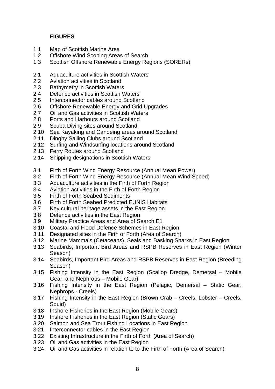# **FIGURES**

- 1.1 Map of Scottish Marine Area
- 1.2 Offshore Wind Scoping Areas of Search
- 1.3 Scottish Offshore Renewable Energy Regions (SORERs)
- 2.1 Aquaculture activities in Scottish Waters
- 2.2 Aviation activities in Scotland
- 2.3 Bathymetry in Scottish Waters
- 2.4 Defence activities in Scottish Waters
- 2.5 Interconnector cables around Scotland
- 2.6 Offshore Renewable Energy and Grid Upgrades
- 2.7 Oil and Gas activities in Scottish Waters
- 2.8 Ports and Harbours around Scotland
- 2.9 Scuba Diving sites around Scotland
- 2.10 Sea Kayaking and Canoeing areas around Scotland
- 2.11 Dinghy Sailing Clubs around Scotland
- 2.12 Surfing and Windsurfing locations around Scotland
- 2.13 Ferry Routes around Scotland
- 2.14 Shipping designations in Scottish Waters
- 3.1 Firth of Forth Wind Energy Resource (Annual Mean Power)
- 3.2 Firth of Forth Wind Energy Resource (Annual Mean Wind Speed)
- 3.3 Aquaculture activities in the Firth of Forth Region
- 3.4 Aviation activities in the Firth of Forth Region
- 3.5 Firth of Forth Seabed Sediments
- 3.6 Firth of Forth Seabed Predicted EUNIS Habitats
- 3.7 Key cultural heritage assets in the East Region
- 3.8 Defence activities in the East Region
- 3.9 Military Practice Areas and Area of Search E1
- 3.10 Coastal and Flood Defence Schemes in East Region
- 3.11 Designated sites in the Firth of Forth (Area of Search)
- 3.12 Marine Mammals (Cetaceans), Seals and Basking Sharks in East Region
- 3.13 Seabirds, Important Bird Areas and RSPB Reserves in East Region (Winter Season)
- 3.14 Seabirds, Important Bird Areas and RSPB Reserves in East Region (Breeding Season)
- 3.15 Fishing Intensity in the East Region (Scallop Dredge, Demersal Mobile Gear, and Nephrops – Mobile Gear)
- 3.16 Fishing Intensity in the East Region (Pelagic, Demersal Static Gear, Nephrops - Creels)
- 3.17 Fishing Intensity in the East Region (Brown Crab Creels, Lobster Creels, Squid)
- 3.18 Inshore Fisheries in the East Region (Mobile Gears)
- 3.19 Inshore Fisheries in the East Region (Static Gears)
- 3.20 Salmon and Sea Trout Fishing Locations in East Region
- 3.21 Interconnector cables in the East Region
- 3.22 Existing Infrastructure in the Firth of Forth (Area of Search)
- 3.23 Oil and Gas activities in the East Region
- 3.24 Oil and Gas activities in relation to to the Firth of Forth (Area of Search)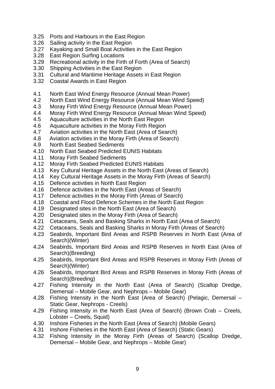- 3.25 Ports and Harbours in the East Region
- 3.26 Sailing activity in the East Region
- 3.27 Kayaking and Small Boat Activities in the East Region
- 3.28 East Region Surfing Locations
- 3.29 Recreational activity in the Firth of Forth (Area of Search)
- 3.30 Shipping Activities in the East Region
- 3.31 Cultural and Maritime Heritage Assets in East Region
- 3.32 Coastal Awards in East Region
- 4.1 North East Wind Energy Resource (Annual Mean Power)
- 4.2 North East Wind Energy Resource (Annual Mean Wind Speed)
- 4.3 Moray Firth Wind Energy Resource (Annual Mean Power)
- 4.4 Moray Firth Wind Energy Resource (Annual Mean Wind Speed)
- 4.5 Aquaculture activities in the North East Region
- 4.6 Aquaculture activities in the Moray Firth Region
- 4.7 Aviation activities in the North East (Area of Search)
- 4.8 Aviation activities in the Moray Firth (Area of Search)
- 4.9 North East Seabed Sediments
- 4.10 North East Seabed Predicted EUNIS Habitats
- 4.11 Moray Firth Seabed Sediments
- 4.12 Moray Firth Seabed Predicted EUNIS Habitats
- 4.13 Key Cultural Heritage Assets in the North East (Areas of Search)
- 4.14 Key Cultural Heritage Assets in the Moray Firth (Areas of Search)
- 4.15 Defence activities in North East Region
- 4.16 Defence activities in the North East (Areas of Search)
- 4.17 Defence activities in the Moray Firth (Areas of Search)
- 4.18 Coastal and Flood Defence Schemes in the North East Region
- 4.19 Designated sites in the North East (Area of Search)
- 4.20 Designated sites in the Moray Firth (Area of Search)
- 4.21 Cetaceans, Seals and Basking Sharks in North East (Area of Search)
- 4.22 Cetaceans, Seals and Basking Sharks in Moray Firth (Areas of Search)
- 4.23 Seabirds, Important Bird Areas and RSPB Reserves in North East (Area of Search)(Winter)
- 4.24 Seabirds, Important Bird Areas and RSPB Reserves in North East (Area of Search)(Breeding)
- 4.25 Seabirds, Important Bird Areas and RSPB Reserves in Moray Firth (Areas of Search)(Winter)
- 4.26 Seabirds, Important Bird Areas and RSPB Reserves in Moray Firth (Areas of Search)(Breeding)
- 4.27 Fishing Intensity in the North East (Area of Search) (Scallop Dredge, Demersal – Mobile Gear, and Nephrops – Mobile Gear)
- 4.28 Fishing Intensity in the North East (Area of Search) (Pelagic, Demersal Static Gear, Nephrops - Creels)
- 4.29 Fishing Intensity in the North East (Area of Search) (Brown Crab Creels, Lobster – Creels, Squid)
- 4.30 Inshore Fisheries in the North East (Area of Search) (Mobile Gears)
- 4.31 Inshore Fisheries in the North East (Area of Search) (Static Gears)
- 4.32 Fishing Intensity in the Moray Firth (Areas of Search) (Scallop Dredge, Demersal – Mobile Gear, and Nephrops – Mobile Gear)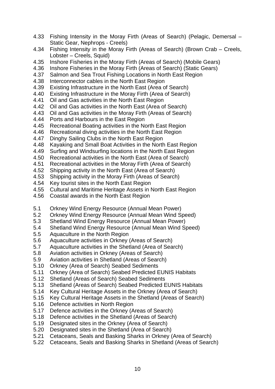- 4.33 Fishing Intensity in the Moray Firth (Areas of Search) (Pelagic, Demersal Static Gear, Nephrops - Creels)
- 4.34 Fishing Intensity in the Moray Firth (Areas of Search) (Brown Crab Creels, Lobster – Creels, Squid)
- 4.35 Inshore Fisheries in the Moray Firth (Areas of Search) (Mobile Gears)
- 4.36 Inshore Fisheries in the Moray Firth (Areas of Search) (Static Gears)
- 4.37 Salmon and Sea Trout Fishing Locations in North East Region
- 4.38 Interconnector cables in the North East Region
- 4.39 Existing Infrastructure in the North East (Area of Search)
- 4.40 Existing Infrastructure in the Moray Firth (Area of Search)
- 4.41 Oil and Gas activities in the North East Region
- 4.42 Oil and Gas activities in the North East (Area of Search)
- 4.43 Oil and Gas activities in the Moray Firth (Areas of Search)
- 4.44 Ports and Harbours in the East Region
- 4.45 Recreational Boating activities in the North East Region
- 4.46 Recreational diving activities in the North East Region
- 4.47 Dinghy Sailing Clubs in the North East Region
- 4.48 Kayaking and Small Boat Activities in the North East Region
- 4.49 Surfing and Windsurfing locations in the North East Region
- 4.50 Recreational activities in the North East (Area of Search)
- 4.51 Recreational activities in the Moray Firth (Area of Search)
- 4.52 Shipping activity in the North East (Area of Search)
- 4.53 Shipping activity in the Moray Firth (Areas of Search)
- 4.54 Key tourist sites in the North East Region
- 4.55 Cultural and Maritime Heritage Assets in North East Region
- 4.56 Coastal awards in the North East Region
- 5.1 Orkney Wind Energy Resource (Annual Mean Power)
- 5.2 Orkney Wind Energy Resource (Annual Mean Wind Speed)
- 5.3 Shetland Wind Energy Resource (Annual Mean Power)
- 5.4 Shetland Wind Energy Resource (Annual Mean Wind Speed)
- 5.5 Aquaculture in the North Region
- 5.6 Aquaculture activities in Orkney (Areas of Search)
- 5.7 Aquaculture activities in the Shetland (Area of Search)
- 5.8 Aviation activities in Orkney (Areas of Search)
- 5.9 Aviation activities in Shetland (Areas of Search)
- 5.10 Orkney (Area of Search) Seabed Sediments
- 5.11 Orkney (Area of Search) Seabed Predicted EUNIS Habitats
- 5.12 Shetland (Areas of Search) Seabed Sediments
- 5.13 Shetland (Areas of Search) Seabed Predicted EUNIS Habitats
- 5.14 Key Cultural Heritage Assets in the Orkney (Area of Search)
- 5.15 Key Cultural Heritage Assets in the Shetland (Areas of Search)
- 5.16 Defence activities in North Region
- 5.17 Defence activities in the Orkney (Areas of Search)
- 5.18 Defence activities in the Shetland (Areas of Search)
- 5.19 Designated sites in the Orkney (Area of Search)
- 5.20 Designated sites in the Shetland (Area of Search)
- 5.21 Cetaceans, Seals and Basking Sharks in Orkney (Area of Search)
- 5.22 Cetaceans, Seals and Basking Sharks in Shetland (Areas of Search)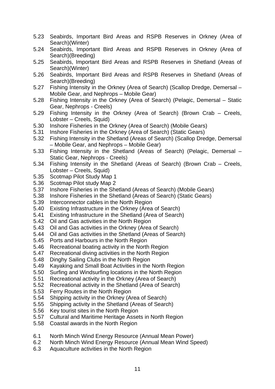- 5.23 Seabirds, Important Bird Areas and RSPB Reserves in Orkney (Area of Search)(Winter)
- 5.24 Seabirds, Important Bird Areas and RSPB Reserves in Orkney (Area of Search)(Breeding)
- 5.25 Seabirds, Important Bird Areas and RSPB Reserves in Shetland (Areas of Search)(Winter)
- 5.26 Seabirds, Important Bird Areas and RSPB Reserves in Shetland (Areas of Search)(Breeding)
- 5.27 Fishing Intensity in the Orkney (Area of Search) (Scallop Dredge, Demersal Mobile Gear, and Nephrops – Mobile Gear)
- 5.28 Fishing Intensity in the Orkney (Area of Search) (Pelagic, Demersal Static Gear, Nephrops - Creels)
- 5.29 Fishing Intensity in the Orkney (Area of Search) (Brown Crab Creels, Lobster – Creels, Squid)
- 5.30 Inshore Fisheries in the Orkney (Area of Search) (Mobile Gears)
- 5.31 Inshore Fisheries in the Orkney (Area of Search) (Static Gears)
- 5.32 Fishing Intensity in the Shetland (Areas of Search) (Scallop Dredge, Demersal – Mobile Gear, and Nephrops – Mobile Gear)
- 5.33 Fishing Intensity in the Shetland (Areas of Search) (Pelagic, Demersal Static Gear, Nephrops - Creels)
- 5.34 Fishing Intensity in the Shetland (Areas of Search) (Brown Crab Creels, Lobster – Creels, Squid)
- 5.35 Scotmap Pilot Study Map 1
- 5.36 Scotmap Pilot study Map 2
- 5.37 Inshore Fisheries in the Shetland (Areas of Search) (Mobile Gears)
- 5.38 Inshore Fisheries in the Shetland (Areas of Search) (Static Gears)
- 5.39 Interconnector cables in the North Region
- 5.40 Existing Infrastructure in the Orkney (Area of Search)
- 5.41 Existing Infrastructure in the Shetland (Area of Search)
- 5.42 Oil and Gas activities in the North Region
- 5.43 Oil and Gas activities in the Orkney (Area of Search)
- 5.44 Oil and Gas activities in the Shetland (Areas of Search)
- 5.45 Ports and Harbours in the North Region
- 5.46 Recreational boating activity in the North Region
- 5.47 Recreational diving activities in the North Region
- 5.48 Dinghy Sailing Clubs in the North Region
- 5.49 Kayaking and Small Boat Activities in the North Region
- 5.50 Surfing and Windsurfing locations in the North Region
- 5.51 Recreational activity in the Orkney (Area of Search)
- 5.52 Recreational activity in the Shetland (Area of Search)
- 5.53 Ferry Routes in the North Region
- 5.54 Shipping activity in the Orkney (Area of Search)
- 5.55 Shipping activity in the Shetland (Areas of Search)
- 5.56 Key tourist sites in the North Region
- 5.57 Cultural and Maritime Heritage Assets in North Region
- 5.58 Coastal awards in the North Region
- 6.1 North Minch Wind Energy Resource (Annual Mean Power)
- 6.2 North Minch Wind Energy Resource (Annual Mean Wind Speed)
- 6.3 Aquaculture activities in the North Region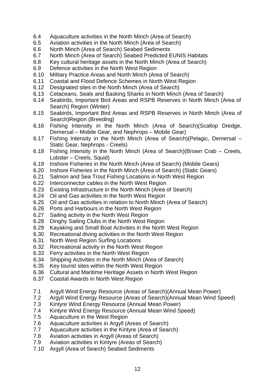- 6.4 Aquaculture activities in the North Minch (Area of Search)
- 6.5 Aviation activities in the North Minch (Area of Search)
- 6.6 North Minch (Area of Search) Seabed Sediments
- 6.7 North Minch (Area of Search) Seabed Predicted EUNIS Habitats
- 6.8 Key cultural heritage assets in the North Minch (Area of Search)
- 6.9 Defence activities in the North West Region
- 6.10 Military Practice Areas and North Minch (Area of Search)
- 6.11 Coastal and Flood Defence Schemes in North West Region
- 
- 6.12 Designated sites in the North Minch (Area of Search)<br>6.13 Cetaceans, Seals and Basking Sharks in North Minch 6.13 Cetaceans, Seals and Basking Sharks in North Minch (Area of Search)
- 6.14 Seabirds, Important Bird Areas and RSPB Reserves in North Minch (Area of Search) Region (Winter)
- 6.15 Seabirds, Important Bird Areas and RSPB Reserves in North Minch (Area of Search)Region (Breeding)
- 6.16 Fishing Intensity in the North Minch (Area of Search)(Scallop Dredge, Demersal – Mobile Gear, and Nephrops – Mobile Gear)
- 6.17 Fishing Intensity in the North Minch (Area of Search)(Pelagic, Demersal Static Gear, Nephrops - Creels)
- 6.18 Fishing Intensity in the North Minch (Area of Search)(Brown Crab Creels, Lobster – Creels, Squid)
- 6.19 Inshore Fisheries in the North Minch (Area of Search) (Mobile Gears)
- 6.20 Inshore Fisheries in the North Minch (Area of Search) (Static Gears)
- 6.21 Salmon and Sea Trout Fishing Locations in North West Region
- 6.22 Interconnector cables in the North West Region
- 6.23 Existing Infrastructure in the North Minch (Area of Search)
- 6.24 Oil and Gas activities in the North West Region
- 6.25 Oil and Gas activities in relation to North Minch (Area of Search)
- 6.26 Ports and Harbours in the North West Region
- 6.27 Sailing activity in the North West Region
- 6.28 Dinghy Sailing Clubs in the North West Region
- 6.29 Kayaking and Small Boat Activities in the North West Region
- 6.30 Recreational diving activities in the North West Region
- 6.31 North West Region Surfing Locations
- 6.32 Recreational activity in the North West Region
- 6.33 Ferry activities in the North West Region
- 6.34 Shipping Activities in the North Minch (Area of Search)
- 6.35 Key tourist sites within the North West Region
- 6.36 Cultural and Maritime Heritage Assets in North West Region
- 6.37 Coastal Awards in North West Region
- 7.1 Argyll Wind Energy Resource (Areas of Search)(Annual Mean Power)
- 7.2 Argyll Wind Energy Resource (Areas of Search)(Annual Mean Wind Speed)
- 7.3 Kintyre Wind Energy Resource (Annual Mean Power)
- 7.4 Kintyre Wind Energy Resource (Annual Mean Wind Speed)
- 7.5 Aquaculture in the West Region
- 7.6 Aquaculture activities in Argyll (Areas of Search)
- 7.7 Aquaculture activities in the Kintyre (Area of Search)
- 7.8 Aviation activities in Argyll (Areas of Search)
- 7.9 Aviation activities in Kintyre (Areas of Search)
- 7.10 Argyll (Area of Search) Seabed Sediments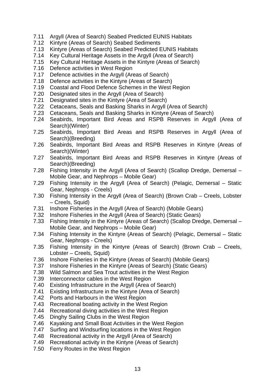- 7.11 Argyll (Area of Search) Seabed Predicted EUNIS Habitats
- 7.12 Kintyre (Areas of Search) Seabed Sediments
- 7.13 Kintyre (Areas of Search) Seabed Predicted EUNIS Habitats
- 7.14 Key Cultural Heritage Assets in the Argyll (Area of Search)
- 7.15 Key Cultural Heritage Assets in the Kintyre (Areas of Search)
- 7.16 Defence activities in West Region
- 7.17 Defence activities in the Argyll (Areas of Search)
- 7.18 Defence activities in the Kintyre (Areas of Search)
- 7.19 Coastal and Flood Defence Schemes in the West Region
- 7.20 Designated sites in the Argyll (Area of Search)
- 7.21 Designated sites in the Kintyre (Area of Search)
- 7.22 Cetaceans, Seals and Basking Sharks in Argyll (Area of Search)
- 7.23 Cetaceans, Seals and Basking Sharks in Kintyre (Areas of Search)
- 7.24 Seabirds, Important Bird Areas and RSPB Reserves in Argyll (Area of Search)(Winter)
- 7.25 Seabirds, Important Bird Areas and RSPB Reserves in Argyll (Area of Search)(Breeding)
- 7.26 Seabirds, Important Bird Areas and RSPB Reserves in Kintyre (Areas of Search)(Winter)
- 7.27 Seabirds, Important Bird Areas and RSPB Reserves in Kintyre (Areas of Search)(Breeding)
- 7.28 Fishing Intensity in the Argyll (Area of Search) (Scallop Dredge, Demersal Mobile Gear, and Nephrops – Mobile Gear)
- 7.29 Fishing Intensity in the Argyll (Area of Search) (Pelagic, Demersal Static Gear, Nephrops - Creels)
- 7.30 Fishing Intensity in the Argyll (Area of Search) (Brown Crab Creels, Lobster – Creels, Squid)
- 7.31 Inshore Fisheries in the Argyll (Area of Search) (Mobile Gears)
- 7.32 Inshore Fisheries in the Argyll (Area of Search) (Static Gears)
- 7.33 Fishing Intensity in the Kintyre (Areas of Search) (Scallop Dredge, Demersal Mobile Gear, and Nephrops – Mobile Gear)
- 7.34 Fishing Intensity in the Kintyre (Areas of Search) (Pelagic, Demersal Static Gear, Nephrops - Creels)
- 7.35 Fishing Intensity in the Kintyre (Areas of Search) (Brown Crab Creels, Lobster – Creels, Squid)
- 7.36 Inshore Fisheries in the Kintyre (Areas of Search) (Mobile Gears)
- 7.37 Inshore Fisheries in the Kintyre (Areas of Search) (Static Gears)
- 7.38 Wild Salmon and Sea Trout activities in the West Region
- 7.39 Interconnector cables in the West Region
- 7.40 Existing Infrastructure in the Argyll (Area of Search)
- 7.41 Existing Infrastructure in the Kintyre (Area of Search)
- 7.42 Ports and Harbours in the West Region
- 7.43 Recreational boating activity in the West Region
- 7.44 Recreational diving activities in the West Region
- 7.45 Dinghy Sailing Clubs in the West Region
- 7.46 Kayaking and Small Boat Activities in the West Region
- 7.47 Surfing and Windsurfing locations in the West Region
- 7.48 Recreational activity in the Argyll (Area of Search)
- 7.49 Recreational activity in the Kintyre (Areas of Search)
- 7.50 Ferry Routes in the West Region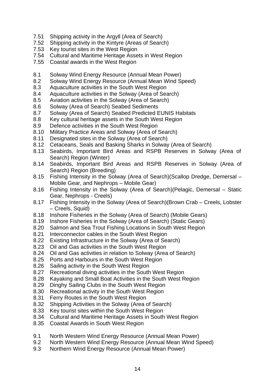- 7.51 Shipping activity in the Argyll (Area of Search)
- 7.52 Shipping activity in the Kintyre (Areas of Search)<br>7.53 Kev tourist sites in the West Region
- Key tourist sites in the West Region
- 7.54 Cultural and Maritime Heritage Assets in West Region
- 7.55 Coastal awards in the West Region
- 8.1 Solway Wind Energy Resource (Annual Mean Power)
- 8.2 Solway Wind Energy Resource (Annual Mean Wind Speed)
- 8.3 Aquaculture activities in the South West Region
- 8.4 Aquaculture activities in the Solway (Area of Search)
- 8.5 Aviation activities in the Solway (Area of Search)
- 8.6 Solway (Area of Search) Seabed Sediments
- 8.7 Solway (Area of Search) Seabed Predicted EUNIS Habitats
- 8.8 Key cultural heritage assets in the South West Region
- 8.9 Defence activities in the South West Region
- 8.10 Military Practice Areas and Solway (Area of Search)
- 8.11 Designated sites in the Solway (Area of Search)
- 8.12 Cetaceans, Seals and Basking Sharks in Solway (Area of Search)
- 8.13 Seabirds, Important Bird Areas and RSPB Reserves in Solway (Area of Search) Region (Winter)
- 8.14 Seabirds, Important Bird Areas and RSPB Reserves in Solway (Area of Search) Region (Breeding)
- 8.15 Fishing Intensity in the Solway (Area of Search)(Scallop Dredge, Demersal Mobile Gear, and Nephrops – Mobile Gear)
- 8.16 Fishing Intensity in the Solway (Area of Search)(Pelagic, Demersal Static Gear, Nephrops - Creels)
- 8.17 Fishing Intensity in the Solway (Area of Search)(Brown Crab Creels, Lobster – Creels, Squid)
- 8.18 Inshore Fisheries in the Solway (Area of Search) (Mobile Gears)
- 8.19 Inshore Fisheries in the Solway (Area of Search) (Static Gears)
- 8.20 Salmon and Sea Trout Fishing Locations in South West Region
- 8.21 Interconnector cables in the South West Region
- 8.22 Existing Infrastructure in the Solway (Area of Search)
- 8.23 Oil and Gas activities in the South West Region
- 8.24 Oil and Gas activities in relation to Solway (Area of Search)
- 8.25 Ports and Harbours in the South West Region
- 8.26 Sailing activity in the South West Region
- 8.27 Recreational diving activities in the South West Region
- 8.28 Kayaking and Small Boat Activities in the South West Region
- 8.29 Dinghy Sailing Clubs in the South West Region
- 8.30 Recreational activity in the South West Region
- 8.31 Ferry Routes in the South West Region
- 8.32 Shipping Activities in the Solway (Area of Search)
- 8.33 Key tourist sites within the South West Region
- 8.34 Cultural and Maritime Heritage Assets in South West Region
- 8.35 Coastal Awards in South West Region
- 9.1 North Western Wind Energy Resource (Annual Mean Power)
- 9.2 North Western Wind Energy Resource (Annual Mean Wind Speed)
- 9.3 Northern Wind Energy Resource (Annual Mean Power)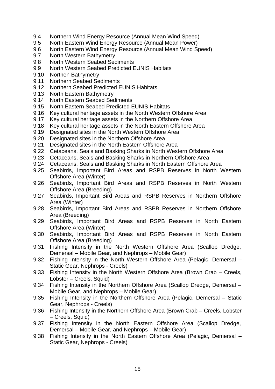- 9.4 Northern Wind Energy Resource (Annual Mean Wind Speed)
- 9.5 North Eastern Wind Energy Resource (Annual Mean Power)
- 9.6 North Eastern Wind Energy Resource (Annual Mean Wind Speed)
- 9.7 North Western Bathymetry
- 9.8 North Western Seabed Sediments
- 9.9 North Western Seabed Predicted EUNIS Habitats
- 9.10 Northen Bathymetry
- 9.11 Northern Seabed Sediments
- 9.12 Northern Seabed Predicted EUNIS Habitats
- 9.13 North Eastern Bathymetry
- 9.14 North Eastern Seabed Sediments
- 9.15 North Eastern Seabed Predicted EUNIS Habitats
- 9.16 Key cultural heritage assets in the North Western Offshore Area
- 9.17 Key cultural heritage assets in the Northern Offshore Area
- 9.18 Key cultural heritage assets in the North Eastern Offshore Area
- 9.19 Designated sites in the North Western Offshore Area
- 9.20 Designated sites in the Northern Offshore Area
- 9.21 Designated sites in the North Eastern Offshore Area
- 9.22 Cetaceans, Seals and Basking Sharks in North Western Offshore Area<br>9.23 Cetaceans. Seals and Basking Sharks in Northern Offshore Area
- 9.23 Cetaceans, Seals and Basking Sharks in Northern Offshore Area
- 9.24 Cetaceans, Seals and Basking Sharks in North Eastern Offshore Area
- 9.25 Seabirds, Important Bird Areas and RSPB Reserves in North Western Offshore Area (Winter)
- 9.26 Seabirds, Important Bird Areas and RSPB Reserves in North Western Offshore Area (Breeding)
- 9.27 Seabirds, Important Bird Areas and RSPB Reserves in Northern Offshore Area (Winter)
- 9.28 Seabirds, Important Bird Areas and RSPB Reserves in Northern Offshore Area (Breeding)
- 9.29 Seabirds, Important Bird Areas and RSPB Reserves in North Eastern Offshore Area (Winter)
- 9.30 Seabirds, Important Bird Areas and RSPB Reserves in North Eastern Offshore Area (Breeding)
- 9.31 Fishing Intensity in the North Western Offshore Area (Scallop Dredge, Demersal – Mobile Gear, and Nephrops – Mobile Gear)
- 9.32 Fishing Intensity in the North Western Offshore Area (Pelagic, Demersal Static Gear, Nephrops - Creels)
- 9.33 Fishing Intensity in the North Western Offshore Area (Brown Crab Creels, Lobster – Creels, Squid)
- 9.34 Fishing Intensity in the Northern Offshore Area (Scallop Dredge, Demersal Mobile Gear, and Nephrops – Mobile Gear)
- 9.35 Fishing Intensity in the Northern Offshore Area (Pelagic, Demersal Static Gear, Nephrops - Creels)
- 9.36 Fishing Intensity in the Northern Offshore Area (Brown Crab Creels, Lobster – Creels, Squid)
- 9.37 Fishing Intensity in the North Eastern Offshore Area (Scallop Dredge, Demersal – Mobile Gear, and Nephrops – Mobile Gear)
- 9.38 Fishing Intensity in the North Eastern Offshore Area (Pelagic, Demersal Static Gear, Nephrops - Creels)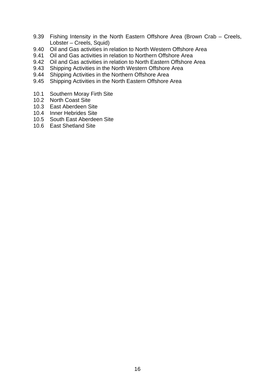- 9.39 Fishing Intensity in the North Eastern Offshore Area (Brown Crab Creels, Lobster – Creels, Squid)
- 9.40 Oil and Gas activities in relation to North Western Offshore Area
- 9.41 Oil and Gas activities in relation to Northern Offshore Area
- 9.42 Oil and Gas activities in relation to North Eastern Offshore Area
- 9.43 Shipping Activities in the North Western Offshore Area
- 9.44 Shipping Activities in the Northern Offshore Area
- 9.45 Shipping Activities in the North Eastern Offshore Area
- 10.1 Southern Moray Firth Site
- 10.2 North Coast Site
- 10.3 East Aberdeen Site
- 10.4 Inner Hebrides Site
- 10.5 South East Aberdeen Site
- 10.6 East Shetland Site